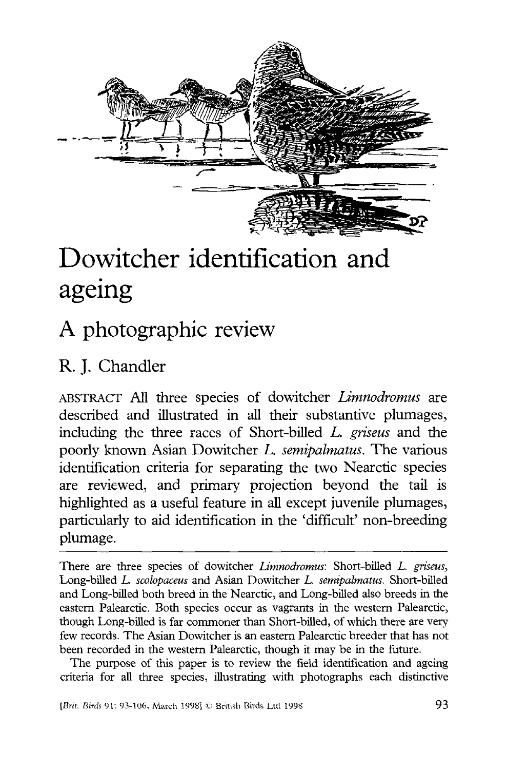

# Dowitcher identification and ageing

## A photographic review

### R. J. Chandler

ABSTRACT All three species of dowitcher *Limnodromus* are described and illustrated in all their substantive plumages, including the three races of Short-billed *L. griseus* and the poorly known Asian Dowitcher *L. semipalmatus.* The various identification criteria for separating the two Nearctic species are reviewed, and primary projection beyond the tail is highlighted as a useful feature in all except juvenile plumages, particularly to aid identification in the 'difficult' non-breeding plumage.

There are three species of dowitcher *Limnodromus:* Short-billed *L. griseus,*  Long-billed *L. scobpaceus* and Asian Dowitcher *L. semipalmatus.* Short-billed and Long-billed both breed in the Nearctic, and Long-billed also breeds in the eastern Palearctic. Both species occur as vagrants in the western Palearctic, though Long-billed is far commoner than Short-billed, of which there are very few records. The Asian Dowitcher is an eastern Palearctic breeder that has not been recorded in the western Palearctic, though it may be in the future.

The purpose of this paper is to review the field identification and ageing criteria for all three species, illustrating with photographs each distinctive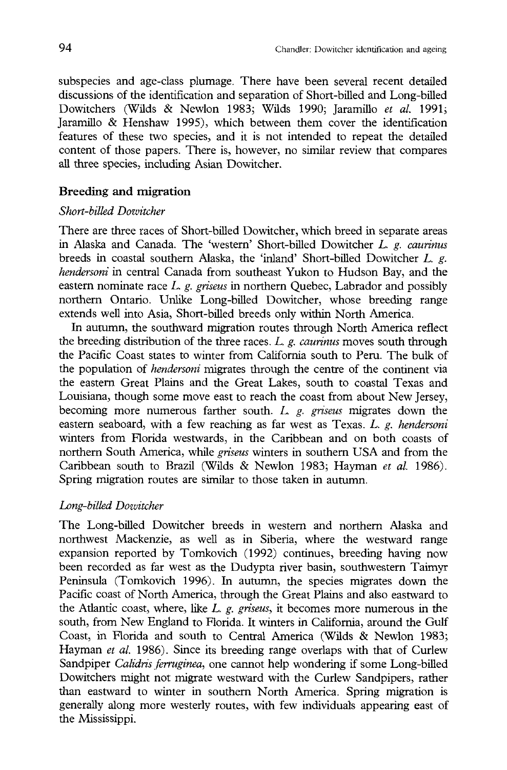subspecies and age-class plumage. There have been several recent detailed discussions of the identification and separation of Short-billed and Long-billed Dowitchers (Wilds & Newlon 1983; Wilds 1990; Jaramillo *et al.* 1991; Jaramillo & Henshaw 1995), which between them cover the identification features of these two species, and it is not intended to repeat the detailed content of those papers. There is, however, no similar review that compares all three species, including Asian Dowitcher.

#### **Breeding and migration**

#### *Short-billed Dowitcher*

There are three races of Short-billed Dowitcher, which breed in separate areas in Alaska and Canada. The 'western' Short-billed Dowitcher *L. g. caurinus*  breeds in coastal southern Alaska, the 'inland' Short-billed Dowitcher *L. g. hendersoni* in central Canada from southeast Yukon to Hudson Bay, and the eastern nominate race *L. g. griseus* in northern Quebec, Labrador and possibly northern Ontario. Unlike Long-billed Dowitcher, whose breeding range extends well into Asia, Short-billed breeds only within North America.

In autumn, the southward migration routes through North America reflect the breeding distribution of the three races. *L. g. caurinus* moves south through the Pacific Coast states to winter from California south to Peru. The bulk of the population of *hendersoni* migrates through the centre of the continent via the eastern Great Plains and the Great Lakes, south to coastal Texas and Louisiana, though some move east to reach the coast from about New Jersey, becoming more numerous farther south. *L. g. griseus* migrates down the eastern seaboard, with a few reaching as far west as Texas. *L. g. hendersoni*  winters from Florida westwards, in the Caribbean and on both coasts of northern South America, while *griseus* winters in southern USA and from the Caribbean south to Brazil (Wilds & Newlon 1983; Hayman *et al.* 1986). Spring migration routes are similar to those taken in autumn.

#### *Long-billed Dowitcher*

The Long-billed Dowitcher breeds in western and northern Alaska and northwest Mackenzie, as well as in Siberia, where the westward range expansion reported by Tomkovich (1992) continues, breeding having now been recorded as far west as the Dudypta river basin, southwestern Taimyr Peninsula (Tomkovich 1996). In autumn, the species migrates down the Pacific coast of North America, through the Great Plains and also eastward to the Atlantic coast, where, like *L. g. griseus,* it becomes more numerous in the south, from New England to Florida. It winters in California, around the Gulf Coast, in Florida and south to Central America (Wilds & Newlon 1983; Hayman *et al.* 1986). Since its breeding range overlaps with that of Curlew Sandpiper *Calidris ferruginea,* one cannot help wondering if some Long-billed Dowitchers might not migrate westward with the Curlew Sandpipers, rather than eastward to winter in southern North America. Spring migration is generally along more westerly routes, with few individuals appearing east of the Mississippi.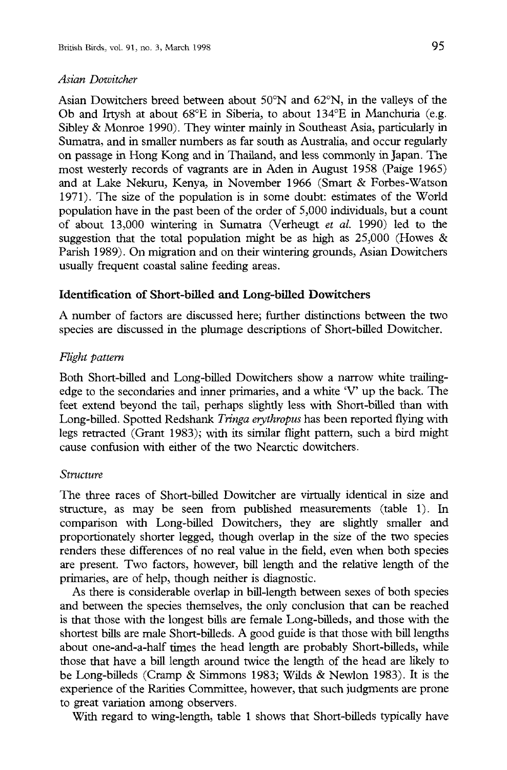#### *Asian Dowitcher*

Asian Dowitchers breed between about 50°N and 62°N, in the valleys of the Ob and Irtysh at about 68°E in Siberia, to about 134°E in Manchuria (e.g. Sibley & Monroe 1990). They winter mainly in Southeast Asia, particularly in Sumatra, and in smaller numbers as far south as Australia, and occur regularly on passage in Hong Kong and in Thailand, and less commonly in Japan. The most westerly records of vagrants are in Aden in August 1958 (Paige 1965) and at Lake Nekuru, Kenya, in November 1966 (Smart & Forbes-Watson 1971). The size of the population is in some doubt: estimates of the World population have in the past been of the order of 5,000 individuals, but a count of about 13,000 wintering in Sumatra (Verheugt *et al.* 1990) led to the suggestion that the total population might be as high as  $25,000$  (Howes  $\&$ Parish 1989). On migration and on their wintering grounds, Asian Dowitchers usually frequent coastal saline feeding areas.

#### Identification of Short-billed and Long-billed Dowitchers

A number of factors are discussed here; further distinctions between the two species are discussed in the plumage descriptions of Short-billed Dowitcher.

#### *Flight pattern*

Both Short-billed and Long-billed Dowitchers show a narrow white trailingedge to the secondaries and inner primaries, and a white 'V up the back. The feet extend beyond the tail, perhaps slightly less with Short-billed than with Long-billed. Spotted Redshank *Tringa eryihropus* has been reported flying with legs retracted (Grant 1983); with its similar flight pattern, such a bird might cause confusion with either of the two Nearctic dowitchers.

#### *Structure*

The three races of Short-billed Dowitcher are virtually identical in size and structure, as may be seen from published measurements (table 1). In comparison with Long-billed Dowitchers, they are slighdy smaller and proportionately shorter legged, though overlap in the size of the two species renders these differences of no real value in the field, even when both species are present. Two factors, however, bill length and the relative length of the primaries, are of help, though neither is diagnostic.

As there is considerable overlap in bill-length between sexes of both species and between the species themselves, the only conclusion that can be reached is that those with the longest bills are female Long-billeds, and those with the shortest bills are male Short-billeds. A good guide is that those with bill lengths about one-and-a-half times the head length are probably Short-billeds, while those that have a bill length around twice the length of the head are likely to be Long-billeds (Cramp & Simmons 1983; Wilds & Newlon 1983). It is the experience of the Rarities Committee, however, that such judgments are prone to great variation among observers.

With regard to wing-length, table 1 shows that Short-billeds typically have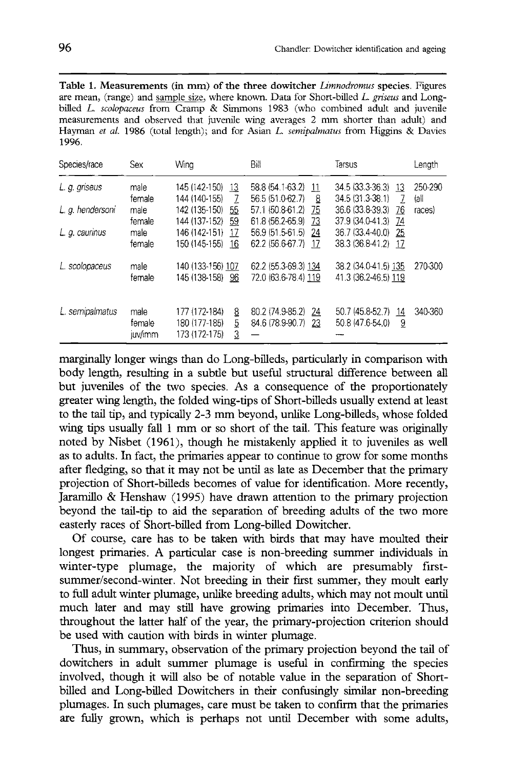**Table 1. Measurements (in mm) of the three dowitcher** *Limnodromus* **species.** Figures are mean, (range) and sample size, where known. Data for Short-billed *L. griseus* and Longbilled *L. scolopaceus* from Cramp & Simmons 1983 (who combined adult and juvenile measurements and observed that juvenile wing averages 2 mm shorter than adult) and Hayman *et al.* 1986 (total length); and for Asian *L. semipalmalus* from Higgins & Davies 1996.

| Species/race     | Sex                       | Wing                                                           | Bill                                             | Tarsus                                            | Lenath          |
|------------------|---------------------------|----------------------------------------------------------------|--------------------------------------------------|---------------------------------------------------|-----------------|
| L. g. griseus    | male<br>female            | 145 (142-150)<br>13<br>144 (140-155)<br>7                      | 58.8 (54.1-63.2)<br>-11<br>56.5 (51.0-62.7)<br>8 | 34.5 (33.3-36.3)<br>-13<br>34.5 (31.3-38.1)<br>-7 | 250-290<br>lall |
| L. g. hendersoni | male<br>female            | 142 (135-150)<br>55<br>144 (137-152)<br>59                     | 57.1 (50.8-61.2)<br>75<br>61.8 (56.2-65.9)<br>73 | 36.6 (33.8-39.3)<br>76<br>37.9 (34.0-41.3)<br>74  | races)          |
| L. g. caurinus   | male<br>female            | 146 (142-151)<br>17<br>150 (145-155)<br>16                     | 56.9 (51.5-61.5)<br>24<br>62.2 (56.6-67.7)<br>17 | 36.7 (33.4-40.0)<br>25<br>38.3 (36.8-41.2)<br>-17 |                 |
| L. scolopaceus   | male<br>female            | 140 (133-156) 107<br>145 (138-158) 96                          | 62.2 (55.3-69.3) 134<br>72.0 (63.6-78.4) 119     | 38.2 (34.0-41.5) 135<br>41.3 (36.2-46.5) 119      | 270-300         |
| L. semipalmatus  | male<br>female<br>juv/imm | 177 (172-184)<br>8<br>5<br>180 (177-185)<br>3<br>173 (172-175) | 80.2 (74.9-85.2)<br>24<br>84.6 (78.9-90.7)<br>23 | 50.7 (45.8-52.7)<br>14<br>50.8 (47.6-54.0)<br>9   | 340-360         |

marginally longer wings than do Long-billeds, particularly in comparison with body length, resulting in a subtle but useful structural difference between all but juveniles of the two species. As a consequence of the proportionately greater wing length, the folded wing-tips of Short-billeds usually extend at least to the tail tip, and typically 2-3 mm beyond, unlike Long-billeds, whose folded wing tips usually fall 1 mm or so short of the tail. This feature was originally noted by Nisbet (1961), though he mistakenly applied it to juveniles as well as to adults. In fact, the primaries appear to continue to grow for some months after fledging, so that it may not be until as late as December that the primary projection of Short-billeds becomes of value for identification. More recendy, Jaramillo & Henshaw (1995) have drawn attention to the primary projection beyond die tail-tip to aid the separation of breeding adults of the two more easterly races of Short-billed from Long-billed Dowitcher.

Of course, care has to be taken with birds that may have moulted their longest primaries. A particular case is non-breeding summer individuals in winter-type plumage, the majority of which are presumably firstsummer/second-winter. Not breeding in their first summer, they moult early to full adult winter plumage, unlike breeding adults, which may not moult until much later and may still have growing primaries into December. Thus, throughout the latter half of the year, the primary-projection criterion should be used with caution with birds in winter plumage.

Thus, in summary, observation of the primary projection beyond the tail of dowitchers in adult summer plumage is useful in confirming the species involved, though it will also be of notable value in the separation of Shortbilled and Long-billed Dowitchers in their confusingly similar non-breeding plumages. In such plumages, care must be taken to confirm that the primaries are fully grown, which is perhaps not until December with some adults,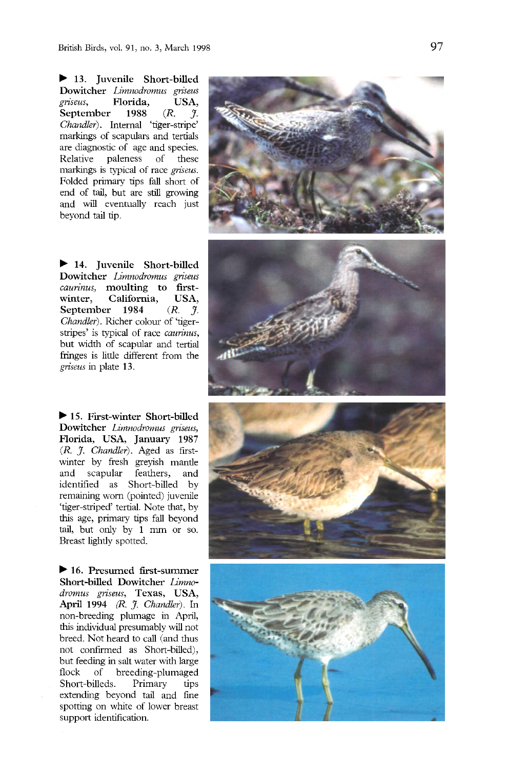**13. Juvenile Short-billed Dowitcher** *Limnodromus griseus griseus,* **Florida, USA, September 1988** *(R. J. Chandler).* Internal 'tiger-stripe' markings of scapulars and tertials are diagnostic of age and species. Relative paleness of these markings is typical of race *griseus.*  Folded primary tips fall short of end of tail, but are still growing and will eventually reach just beyond tail tip.

14. **Juvenile Short-billed Dowitcher** *Limnodromus griseus caurinus,* **moulting to firstwinter, California, USA, September 1984** *(R. J. Chandler).* Richer colour of 'tigerstripes' is typical of race *caurinus,*  but width of scapular and tertial fringes is little different from the *griseus* in plate 13.

▶ 15. First-winter Short-billed **Dowitcher** *Limnodromus griseus,*  **Florida, USA, January 1987**  *(R. J. Chandler).* Aged as firstwinter by fresh greyish mantle and scapular feathers, and identified as Short-billed by remaining worn (pointed) juvenile 'tiger-striped' tertial. Note that, by this age, primary tips fall beyond tail, but only by 1 mm or so. Breast lightly spotted.

**16. Presumed first-summer Short-billed Dowitcher** *Limnodromus griseus,* **Texas, USA, April 1994** *(R. J. Chandler).* In non-breeding plumage in April, this individual presumably will not breed. Not heard to call (and thus not confirmed as Short-billed), but feeding in salt water with large flock of breeding-plumaged Short-billeds. Primary tips extending beyond tail and fine spotting on white of lower breast support identification.

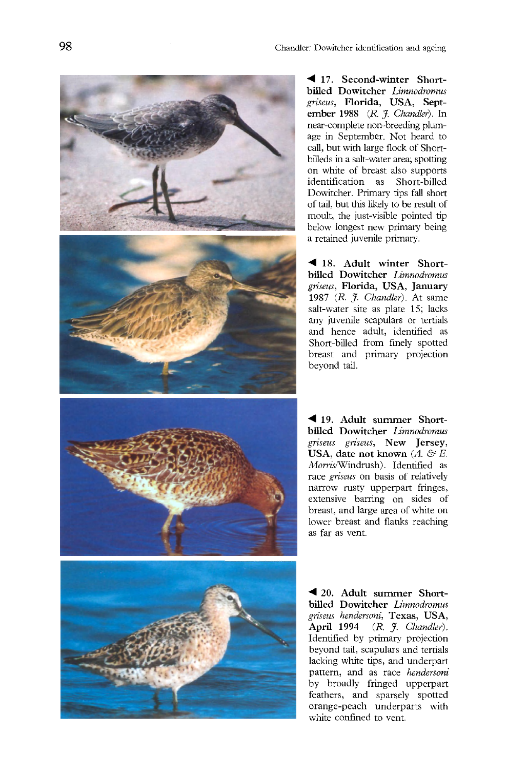

**17. Second-winter Shortbilled Dowitcher** *Limnodromus griseus,* **Florida, USA, September 1988** *(R J. Chandler).* In near-complete non-breeding plumage in September. Not heard to call, but with large flock of Shortbilleds in a salt-water area; spotting on white of breast also supports identification as Short-billed Dowitcher. Primary tips fall short of tail, but this likely to be result of moult, the just-visible pointed tip below longest new primary being a retained juvenile primary.

18. **Adult winter Shortbilled Dowitcher** *Limnodromus griseus,* **Florida, USA, January 1987** *{R. J. Chandler).* At same salt-water site as plate 15; lacks any juvenile scapulars or tertials and hence adult, identified as Short-billed from finely spotted breast and primary projection beyond tail.

**19. Adult summer Shortbilled Dowitcher** *Limnodromus griseus griseus,* **New Jersey, USA, date not known** *{A. & E. M*om's/Windrush). Identified as race *griseus* on basis of relatively narrow rusty upperpart fringes, extensive barring on sides of breast, and large area of white on lower breast and flanks reaching as far as vent.

**20. Adult summer Shortbilled Dowitcher** *Limnodromus griseus hendersoni,* **Texas, USA, April 1994** *(R. J. Chandler).*  Identified by primary projection beyond tail, scapulars and tertials lacking white tips, and underpart pattern, and as race *hendersoni*  by broadly fringed upperpart feathers, and sparsely spotted orange-peach underparts with white confined to vent.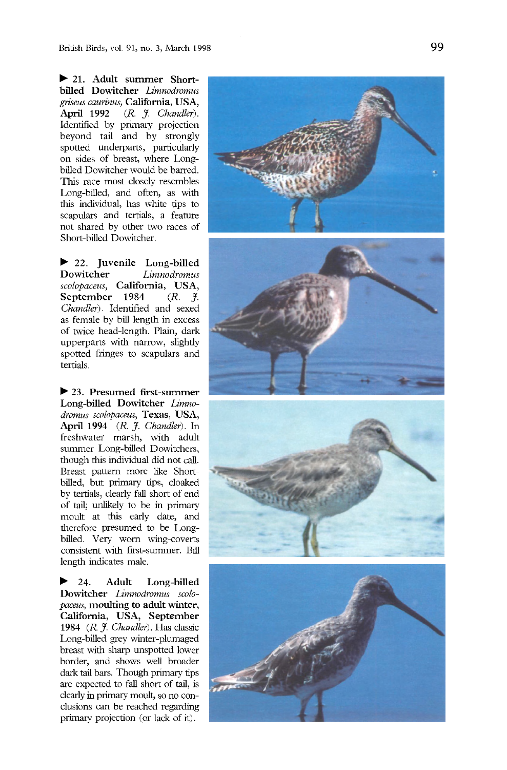**21. Adult summer Shortbilled Dowitcher** *Limnodromus griseus caurinus,* **California, USA,**  April 1992 (R. J. Chandler). Identified by primary projection beyond tail and by strongly spotted underparts, particularly on sides of breast, where Longbilled Dowitcher would be barred. This race most closely resembles Long-billed, and often, as with this individual, has white tips to scapulars and tertials, a feature not shared by other two races of Short-billed Dowitcher.

22. **Juvenile Long-billed Dowitcher** *Limnodromus scolopaceus,* **California, USA, September** 1984 *Chandler).* Identified and sexed as female by bill length in excess of twice head-length. Plain, dark upperparts with narrow, slightly spotted fringes to scapulars and tertials.

**23. Presumed first-summer Long-billed Dowitcher** *Limnodromus scolopaceus,* **Texas, USA, April 1994** *(R. J. Chandler).* **In**  freshwater marsh, with adult summer Long-billed Dowitchers, though this individual did not call. Breast pattern more like Shortbilled, but primary tips, cloaked by tertials, clearly fall short of end of tail; unlikely to be in primary moult at this early date, and therefore presumed to be Longbilled. Very worn wing-coverts consistent with first-summer. Bill length indicates male.

▶. **24. Adult Long-billed Dowitcher** *Limnodromus scolopaceus,* **moulting to adult winter, California, USA, September 1984** *(R. J. Chandler).* Has classic Long-billed grey winter-plumaged breast with sharp unspotted lower border, and shows well broader dark tail bars. Though primary tips are expected to fall short of tail, is clearly in primary moult, so no conclusions can be reached regarding primary projection (or lack of it).







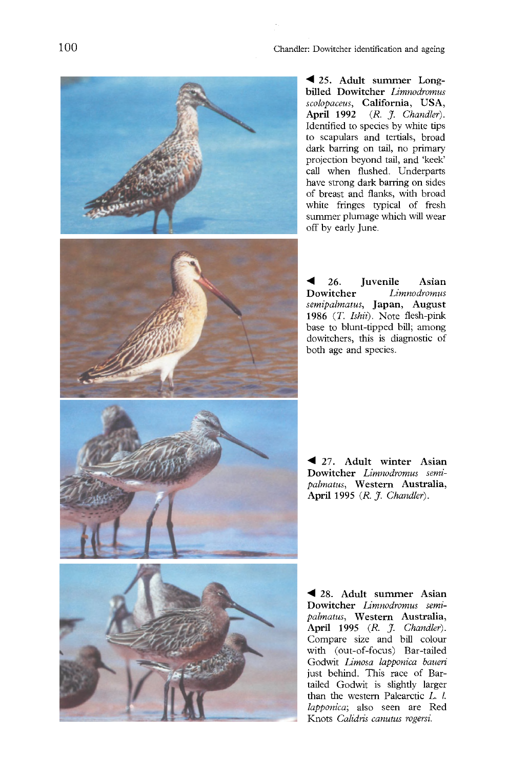

**25. Adult summer Longbilled Dowitcher** *Limnodromus scolopaceus,* **California, USA, April 1992** *(R. J. Chandler).*  Identified to species by white tips to scapulars and tertials, broad dark barring on tail, no primary projection beyond tail, and 'keek' call when flushed. Underparts have strong dark barring on sides of breast and flanks, with broad white fringes typical of fresh summer plumage which will wear off by early June.

26. **Juvenile Asian**   $Limnodromus$ *semipalmatus,* **Japan, August 1986** *(T. Ishii).* Note flesh-pink base to blunt-tipped bill; among dowitchers, this is diagnostic of both age and species.

27. **Adult winter Asian Dowitcher** *Limnodromus semipalmatus,* **Western Australia, April 1995** *(R. J. Chandler).* 

**28. Adult summer Asian Dowitcher** *Limnodromus semipalmatus,* **Western Australia, April 1995** *(R. J. Chandler).*  Compare size and bill colour with (out-of-focus) Bar-tailed Godwit *Limosa lapponica baueri*  just behind. This race of Bartailed Godwit is slightly larger than the western Palearctic *L. I. lapponica;* also seen are Red Knots *Calidris canutus rogersi.*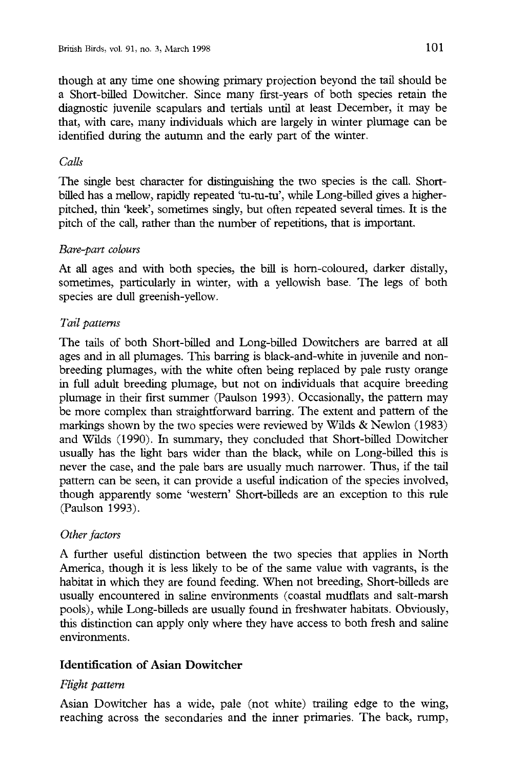though at any time one showing primary projection beyond the tail should be a Short-billed Dowitcher. Since many first-years of both species retain the diagnostic juvenile scapulars and tertials until at least December, it may be that, with care, many individuals which are largely in winter plumage can be identified during the autumn and the early part of the winter.

#### *Calls*

The single best character for distinguishing the two species is the call. Shortbilled has a mellow, rapidly repeated 'tu-tu-tu', while Long-billed gives a higherpitched, thin 'keek', sometimes singly, but often repeated several times. It is the pitch of the call, rather than the number of repetitions, that is important.

#### *Bare-part colours*

At all ages and with both species, the bill is horn-coloured, darker distally, sometimes, particularly in winter, with a yellowish base. The legs of both species are dull greenish-yellow.

#### *Tail patterns*

The tails of both Short-billed and Long-billed Dowitchers are barred at all ages and in all plumages. This barring is black-and-white in juvenile and nonbreeding plumages, with the white often being replaced by pale rusty orange in full adult breeding plumage, but not on individuals that acquire breeding plumage in their first summer (Paulson 1993). Occasionally, the pattern may be more complex than straightforward barring. The extent and pattern of the markings shown by the two species were reviewed by Wilds  $&$  Newlon (1983) and Wilds (1990). In summary, they concluded that Short-billed Dowitcher usually has the light bars wider than the black, while on Long-billed this is never the case, and the pale bars are usually much narrower. Thus, if the tail pattern can be seen, it can provide a useful indication of the species involved, though apparently some 'western' Short-billeds are an exception to this rule (Paulson 1993),

#### *Other factors*

*A* further useful distinction between the two species that applies in North America, though it is less likely to be of the same value with vagrants, is the habitat in which they are found feeding. When not breeding, Short-billeds are usually encountered in saline environments (coastal mudflats and salt-marsh pools), while Long-billeds are usually found in freshwater habitats. Obviously, this distinction can apply only where they have access to both fresh and saline environments.

#### **Identification of Asian Dowitcher**

#### *Flight pattern*

Asian Dowitcher has a wide, pale (not white) trailing edge to the wing, reaching across the secondaries and the inner primaries. The back, rump,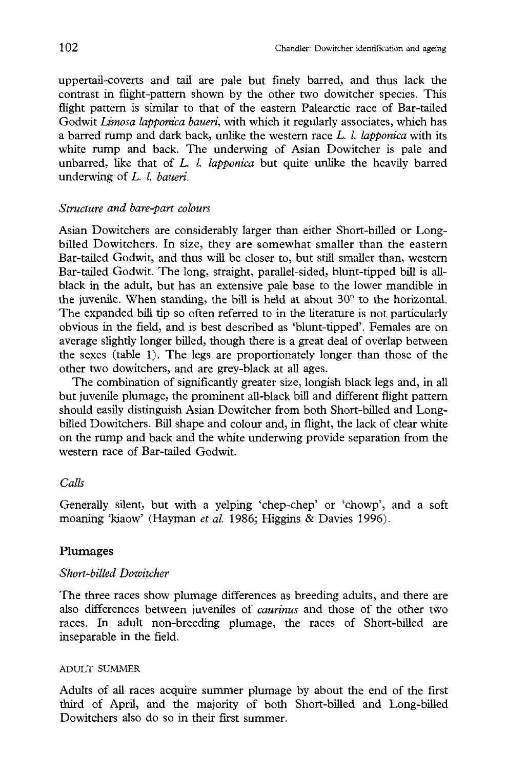uppertail-coverts and tail are pale but finely barred, and thus lack the contrast in flight-pattern shown by the other two dowitcher species. This flight pattern is similar to that of the eastern Palearctic race of Bar-tailed Godwit *Limosa lapponica baueri,* with which it regularly associates, which has a barred rump and dark back, unlike the western race *L. I. lapponica* with its white rump and back. The underwing of Asian Dowitcher is pale and unbarred, like that of *L. I. lapponica* but quite unlike the heavily barred underwing of *L. I. baueri.* 

#### *Structure and bare-part colours*

Asian Dowitchers are considerably larger than either Short-billed or Longbilled Dowitchers. In size, they are somewhat smaller than the eastern Bar-tailed Godwit, and thus will be closer to, but still smaller than, western Bar-tailed Godwit. The long, straight, parallel-sided, blunt-tipped bill is allblack in the adult, but has an extensive pale base to the lower mandible in the juvenile. When standing, the bill is held at about  $30^{\circ}$  to the horizontal. The expanded bill tip so often referred to in the literature is not particularly obvious in the field, and is best described as 'blunt-tipped'. Females are on average slighdy longer billed, though there is a great deal of overlap between the sexes (table 1). The legs are proportionately longer than those of the other two dowitchers, and are grey-black at all ages.

The combination of significantly greater size, longish black legs and, in all but juvenile plumage, the prominent all-black bill and different flight pattern should easily distinguish Asian Dowitcher from both Short-billed and Longbilled Dowitchers. Bill shape and colour and, in flight, the lack of clear white on the rump and back and the white underwing provide separation from the western race of Bar-tailed Godwit.

#### *Calls*

Generally silent, but with a yelping 'chep-chep' or 'chowp', and a soft moaning 'kiaow' (Hayman et al. 1986; Higgins & Davies 1996).

#### Plumages

#### *Short-billed Dowitcher*

The three races show plumage differences as breeding adults, and there are also differences between juveniles of *caurinus* and those of the other two races. In adult non-breeding plumage, the races of Short-billed are inseparable in the field.

#### ADULT SUMMER

Adults of all races acquire summer plumage by about the end of the first third of April, and the majority of both Short-billed and Long-billed Dowitchers also do so in their first summer.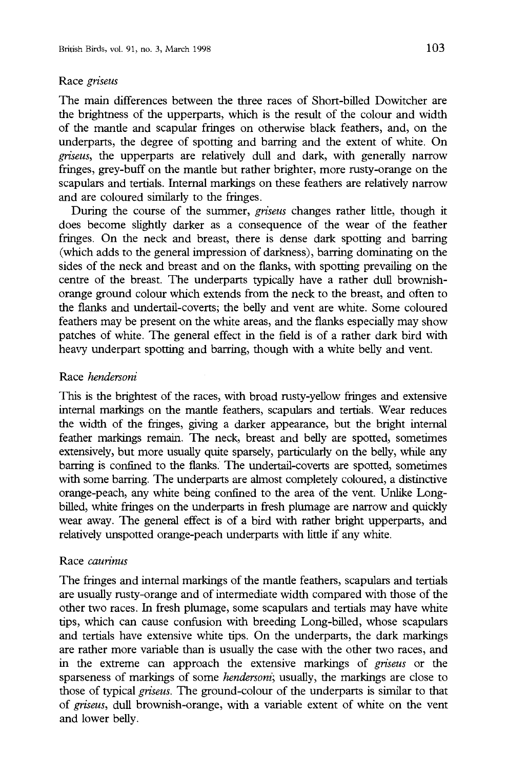#### Race *griseus*

The main differences between the three races of Short-billed Dowitcher are the brightness of the upperparts, which is the result of the colour and width of the mantle and scapular fringes on otherwise black feathers, and, on the underparts, the degree of spotting and barring and the extent of white. On *griseus,* the upperparts are relatively dull and dark, with generally narrow fringes, grey-buff on the mantle but rather brighter, more rusty-orange on the scapulars and tertials. Internal markings on these feathers are relatively narrow and are coloured similarly to the fringes.

During the course of the summer, *griseus* changes rather little, though it does become slightly darker as a consequence of the wear of the feather fringes. On the neck and breast, there is dense dark spotting and barring (which adds to the general impression of darkness), barring dominating on the sides of the neck and breast and on the flanks, with spotting prevailing on the centre of the breast. The underparts typically have a rather dull brownishorange ground colour which extends from the neck to the breast, and often to the flanks and undertail-coverts; the belly and vent are white. Some coloured feathers may be present on the white areas, and the flanks especially may show patches of white. The general effect in the field is of a rather dark bird with heavy underpart spotting and barring, though with a white belly and vent.

#### Race *hendersoni*

This is the brightest of the races, with broad rusty-yellow fringes and extensive internal markings on the mantle feathers, scapulars and tertials. Wear reduces the width of the fringes, giving a darker appearance, but the bright internal feather markings remain. The neck, breast and belly are spotted, sometimes extensively, but more usually quite sparsely, particularly on the belly, while any barring is confined to the flanks. The undertail-coverts are spotted, sometimes with some barring. The underparts are almost completely coloured, a distinctive orange-peach, any white being confined to the area of the vent. Unlike Longbilled, white fringes on the underparts in fresh plumage are narrow and quickly wear away. The general effect is of a bird with rather bright upperparts, and relatively unspotted orange-peach underparts with little if any white.

#### Race *caurinus*

The fringes and internal markings of the mantle feathers, scapulars and tertials are usually rusty-orange and of intermediate width compared with those of the other two races. In fresh plumage, some scapulars and tertials may have white tips, which can cause confusion with breeding Long-billed, whose scapulars and tertials have extensive white tips. On the underparts, the dark markings are rather more variable than is usually the case with the other two races, and in the extreme can approach the extensive markings of *griseus* or the sparseness of markings of some *hendersoni;* usually, the markings are close to those of typical *griseus.* The ground-colour of the underparts is similar to that of *griseus,* dull brownish-orange, with a variable extent of white on the vent and lower belly.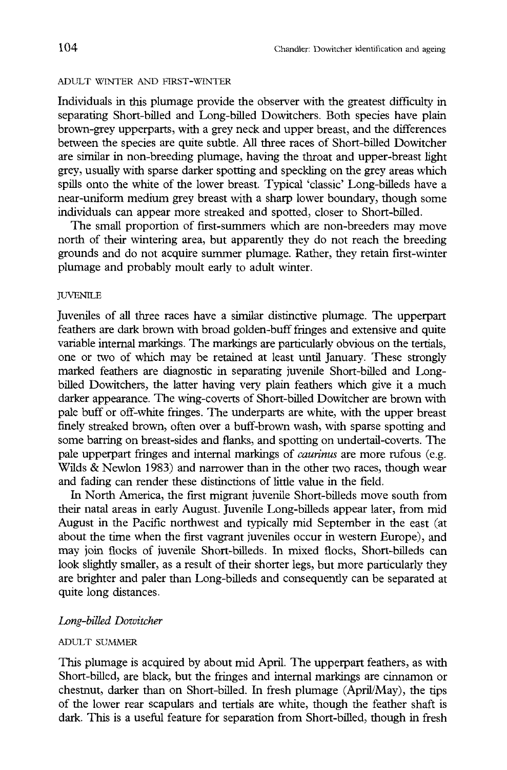#### ADULT WINTER AND FIRST-WINTER

Individuals in this plumage provide the observer with the greatest difficulty in separating Short-billed and Long-billed Dowitchers. Both species have plain brown-grey upperparts, with a grey neck and upper breast, and the differences between the species are quite subtle. All three races of Short-billed Dowitcher are similar in non-breeding plumage, having the throat and upper-breast light grey, usually with sparse darker spotting and speckling on the grey areas which spills onto the white of the lower breast. Typical 'classic' Long-billeds have a near-uniform medium grey breast with a sharp lower boundary, though some individuals can appear more streaked and spotted, closer to Short-billed.

The small proportion of first-summers which are non-breeders may move north of their wintering area, but apparently they do not reach the breeding grounds and do not acquire summer plumage. Rather, they retain first-winter plumage and probably moult early to adult winter.

#### *IUVENILE*

Juveniles of all three races have a similar distinctive plumage. The upperpart feathers are dark brown with broad golden-buff fringes and extensive and quite variable internal markings. The markings are particularly obvious on the tertials, one or two of which may be retained at least until January. These strongly marked feathers are diagnostic in separating juvenile Short-billed and Longbilled Dowitchers, the latter having very plain feathers which give it a much darker appearance. The wing-coverts of Short-billed Dowitcher are brown with pale buff or off-white fringes. The underparts are white, with the upper breast finely streaked brown, often over a buff-brown wash, with sparse spotting and some barring on breast-sides and flanks, and spotting on undertail-coverts. The pale upperpart fringes and internal markings of *caurinus* are more rufous (e.g. Wilds & Newlon 1983) and narrower than in the other two races, though wear and fading can render these distinctions of little value in the field.

In North America, the first migrant juvenile Short-billeds move south from their natal areas in early August. Juvenile Long-billeds appear later, from mid August in the Pacific northwest and typically mid September in the east (at about the time when the first vagrant juveniles occur in western Europe), and may join flocks of juvenile Short-billeds. In mixed flocks, Short-billeds can look slightly smaller, as a result of their shorter legs, but more particularly they are brighter and paler than Long-billeds and consequently can be separated at quite long distances.

#### *Long-billed Dowitcher*

#### ADULT SUMMER

This plumage is acquired by about mid April. The upperpart feathers, as with Short-billed, are black, but the fringes and internal markings are cinnamon or chestnut, darker than on Short-billed. In fresh plumage (April/May), the tips of the lower rear scapulars and tertials are white, though the feather shaft is dark. This is a useful feature for separation from Short-billed, though in fresh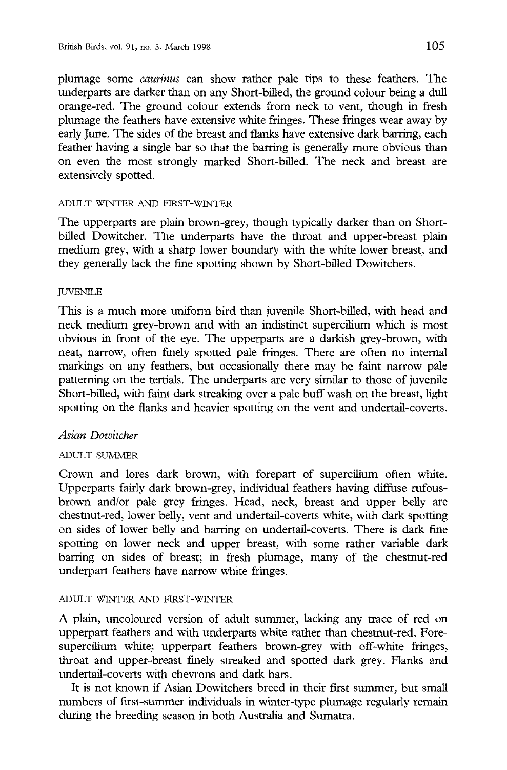plumage some *caurinus* can show rather pale tips to these feathers. The underparts are darker than on any Short-billed, the ground colour being a dull orange-red. The ground colour extends from neck to vent, though in fresh plumage the feathers have extensive white fringes. These fringes wear away by early June. The sides of the breast and flanks have extensive dark barring, each feather having a single bar so that the barring is generally more obvious than on even the most strongly marked Short-billed. The neck and breast are extensively spotted.

#### ADULT WINTER AND FIRST-WINTER

The upperparts are plain brown-grey, though typically darker than on Shortbilled Dowitcher. The underparts have the throat and upper-breast plain medium grey, with a sharp lower boundary with the white lower breast, and they generally lack the fine spotting shown by Short-billed Dowitchers.

#### *IUVENILE*

This is a much more uniform bird than juvenile Short-billed, with head and neck medium grey-brown and with an indistinct supercilium which is most obvious in front of the eye. The upperparts are a darkish grey-brown, with neat, narrow, often finely spotted pale fringes. There are often no internal markings on any feathers, but occasionally there may be faint narrow pale patterning on the tertials. The underparts are very similar to those of juvenile Short-billed, with faint dark streaking over a pale buff wash on the breast, light spotting on the flanks and heavier spotting on the vent and undertail-coverts.

#### *Asian Dowitcher*

#### ADULT SUMMER

Crown and lores dark brown, with forepart of supercilium often white. Upperparts fairly dark brown-grey, individual feathers having diffuse rufousbrown and/or pale grey fringes. Head, neck, breast and upper belly are chestnut-red, lower belly, vent and undertail-coverts white, with dark spotting on sides of lower belly and barring on undertail-coverts. There is dark fine spotting on lower neck and upper breast, with some rather variable dark barring on sides of breast; in fresh plumage, many of the chestnut-red underpart feathers have narrow white fringes.

#### ADULT WINTER AND FIRST-WINTER

A plain, uncoloured version of adult summer, lacking any trace of red on upperpart feathers and with underparts white rather than chestnut-red. Foresupercilium white; upperpart feathers brown-grey with off-white fringes, throat and upper-breast finely streaked and spotted dark grey. Flanks and undertail-coverts with chevrons and dark bars.

It is not known if Asian Dowitchers breed in their first summer, but small numbers of first-summer individuals in winter-type plumage regularly remain during the breeding season in both Australia and Sumatra.